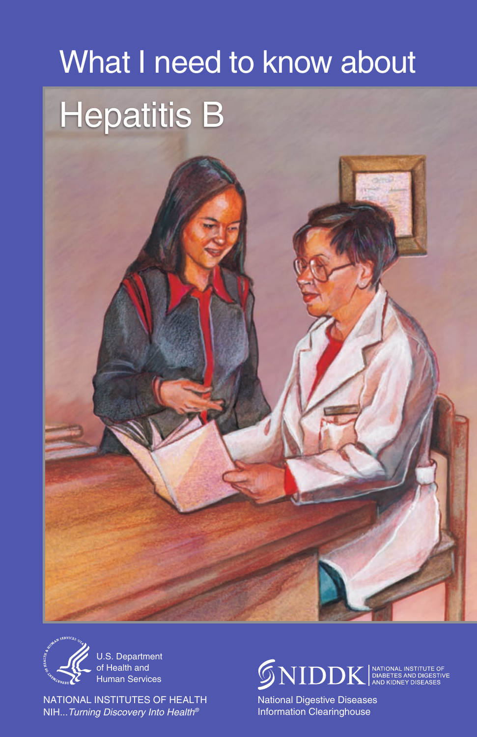# What I need to know about **Hepatitis B**



 of Health and U.S. Department Human Services

NATIONAL INSTITUTES OF HEALTH NIH...*Turning Discovery Into Health®* 

 $\mathbb{S}\text{NIDDK}$  DATIONAL INSTITUTE OF

National Digestive Diseases Information Clearinghouse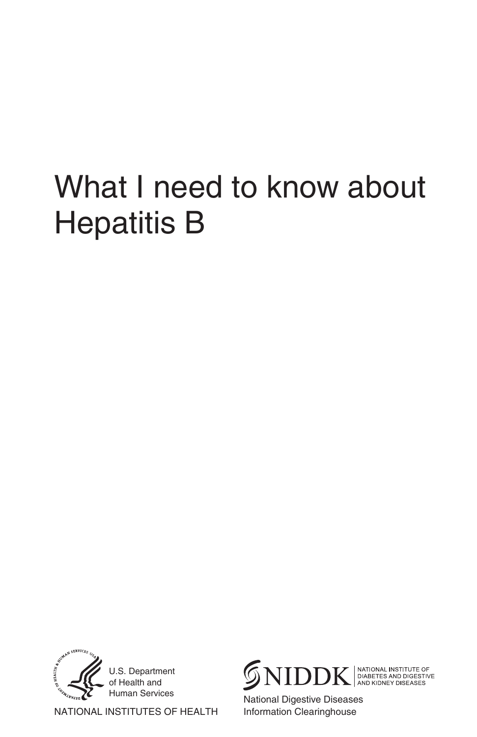# What I need to know about Hepatitis B



NATIONAL INSTITUTES OF HEALTH



National Digestive Diseases Information Clearinghouse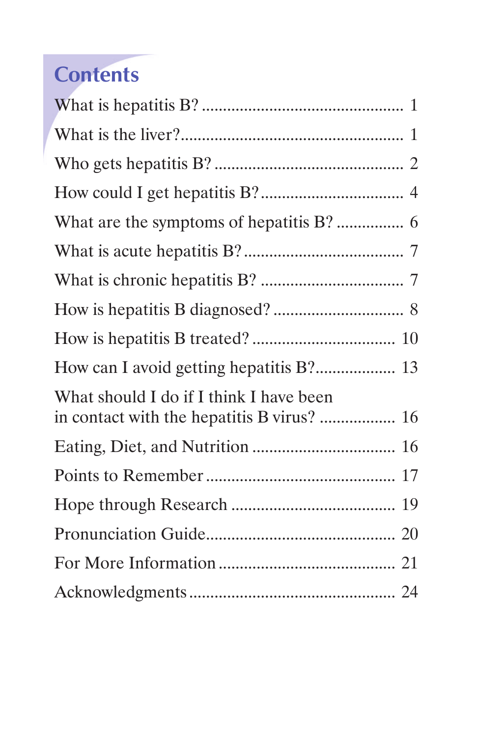# **Contents**

| What should I do if I think I have been<br>in contact with the hepatitis B virus?  16 |
|---------------------------------------------------------------------------------------|
|                                                                                       |
|                                                                                       |
|                                                                                       |
|                                                                                       |
|                                                                                       |
|                                                                                       |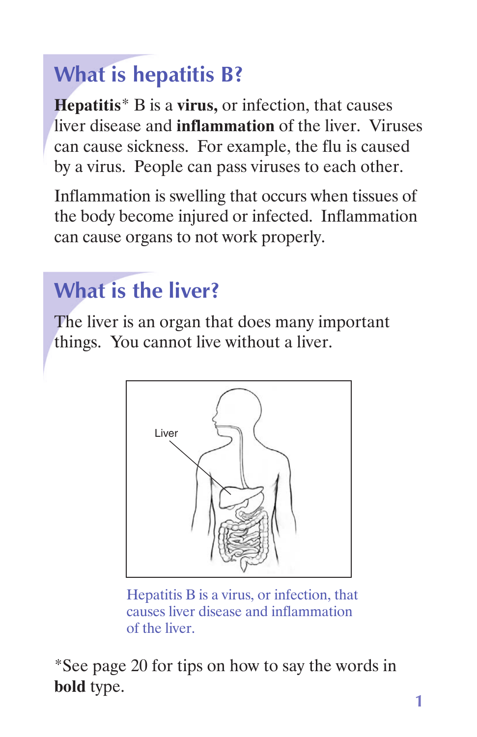# **What is hepatitis B?**

 **Hepatitis**\* B is a **virus,** or infection, that causes liver disease and **inflammation** of the liver. Viruses can cause sickness. For example, the flu is caused by a virus. People can pass viruses to each other.

 Inflammation is swelling that occurs when tissues of the body become injured or infected. Inflammation can cause organs to not work properly.

# **What is the liver?**

 The liver is an organ that does many important things. You cannot live without a liver.



 Hepatitis B is a virus, or infection, that causes liver disease and inflammation of the liver.

 \*See page 20 for tips on how to say the words in **bold** type.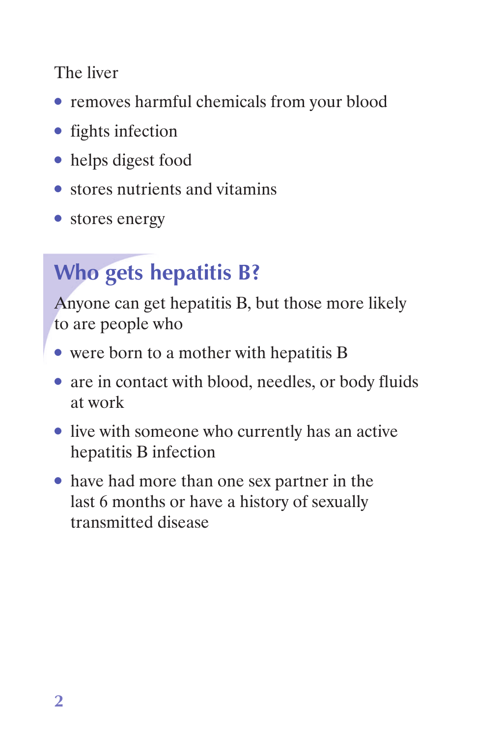The liver

- removes harmful chemicals from your blood
- fights infection
- helps digest food
- stores nutrients and vitamins
- stores energy

# **Who gets hepatitis B?**

 Anyone can get hepatitis B, but those more likely to are people who

- were born to a mother with hepatitis B
- are in contact with blood, needles, or body fluids at work
- live with someone who currently has an active hepatitis B infection
- have had more than one sex partner in the last 6 months or have a history of sexually transmitted disease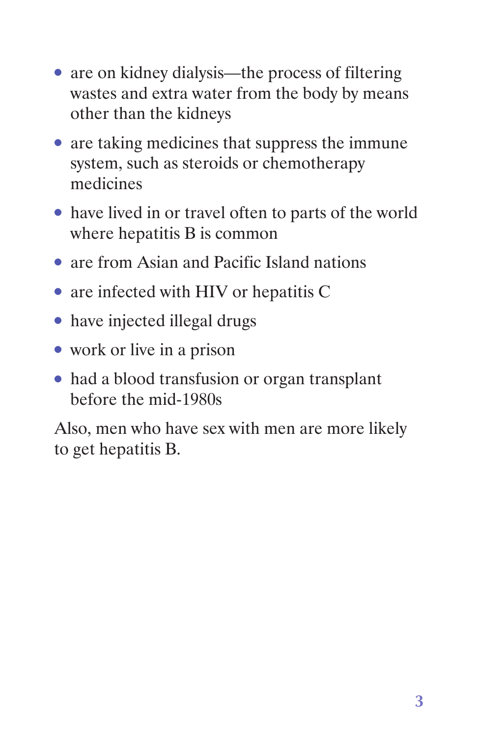- are on kidney dialysis—the process of filtering wastes and extra water from the body by means other than the kidneys
- are taking medicines that suppress the immune system, such as steroids or chemotherapy medicines
- have lived in or travel often to parts of the world where hepatitis B is common
- are from Asian and Pacific Island nations
- are infected with HIV or hepatitis C
- have injected illegal drugs
- work or live in a prison
- had a blood transfusion or organ transplant before the mid-1980s

 Also, men who have sex with men are more likely to get hepatitis B.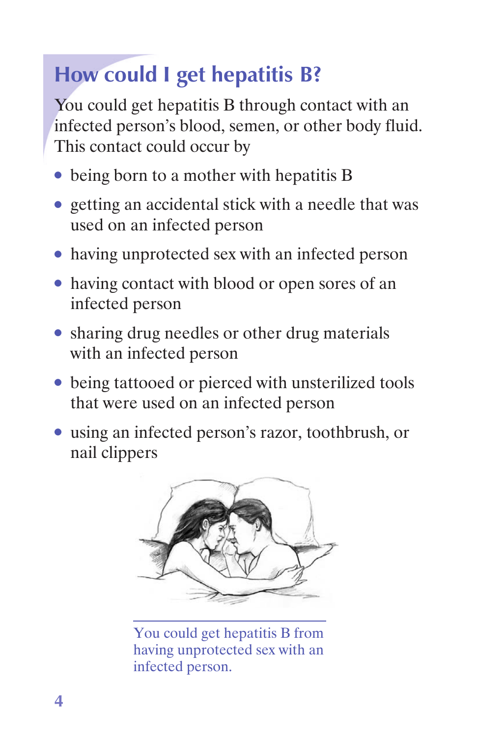# **How could I get hepatitis B?**

 You could get hepatitis B through contact with an infected person's blood, semen, or other body fluid. This contact could occur by

- being born to a mother with hepatitis B
- getting an accidental stick with a needle that was used on an infected person
- having unprotected sex with an infected person
- having contact with blood or open sores of an infected person
- sharing drug needles or other drug materials with an infected person
- being tattooed or pierced with unsterilized tools that were used on an infected person
- using an infected person's razor, toothbrush, or nail clippers



You could get hepatitis B from having unprotected sex with an infected person.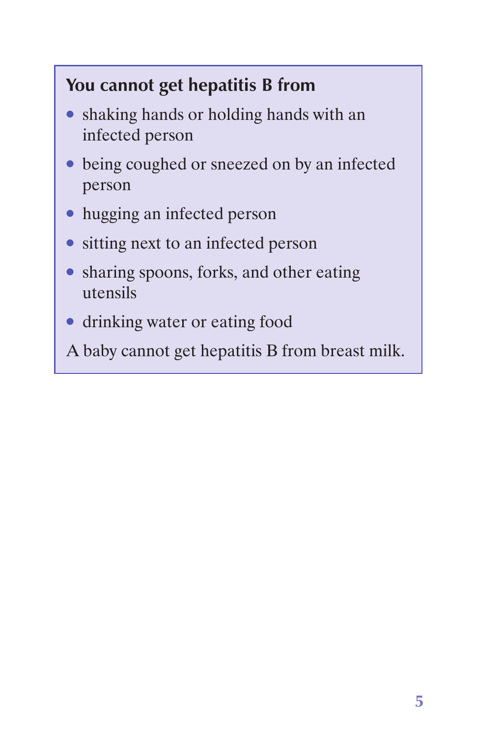#### **You cannot get hepatitis B from**

- shaking hands or holding hands with an infected person
- being coughed or sneezed on by an infected person
- hugging an infected person
- sitting next to an infected person
- sharing spoons, forks, and other eating utensils
- drinking water or eating food
- A baby cannot get hepatitis B from breast milk.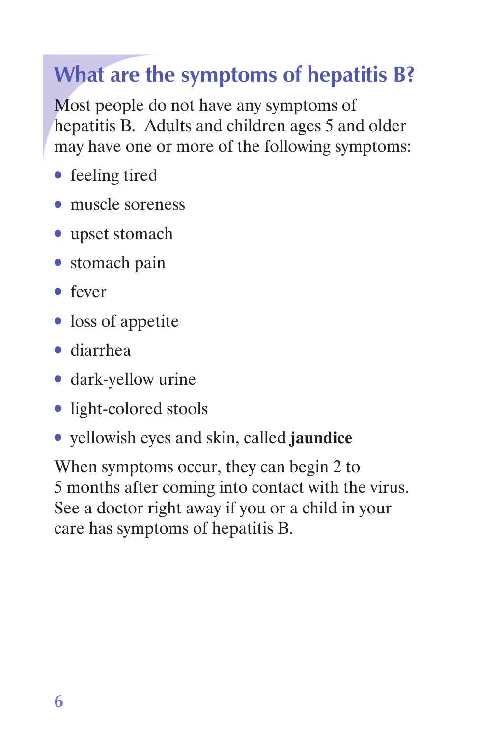# **What are the symptoms of hepatitis B?**

 Most people do not have any symptoms of hepatitis B. Adults and children ages 5 and older may have one or more of the following symptoms:

- feeling tired
- muscle soreness
- upset stomach
- stomach pain
- fever
- loss of appetite
- diarrhea
- dark-yellow urine
- light-colored stools
- yellowish eyes and skin, called **jaundice**

 When symptoms occur, they can begin 2 to 5 months after coming into contact with the virus. See a doctor right away if you or a child in your care has symptoms of hepatitis B.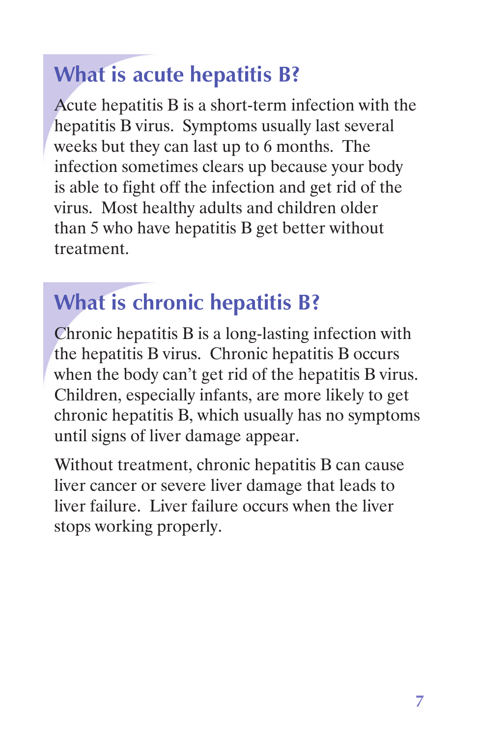# **What is acute hepatitis B?**

 Acute hepatitis B is a short-term infection with the hepatitis B virus. Symptoms usually last several weeks but they can last up to 6 months. The infection sometimes clears up because your body is able to fight off the infection and get rid of the virus. Most healthy adults and children older than 5 who have hepatitis B get better without treatment.

# **What is chronic hepatitis B?**

 Chronic hepatitis B is a long-lasting infection with the hepatitis B virus. Chronic hepatitis B occurs when the body can't get rid of the hepatitis B virus. Children, especially infants, are more likely to get chronic hepatitis B, which usually has no symptoms until signs of liver damage appear.

 Without treatment, chronic hepatitis B can cause liver cancer or severe liver damage that leads to stops working properly. liver failure. Liver failure occurs when the liver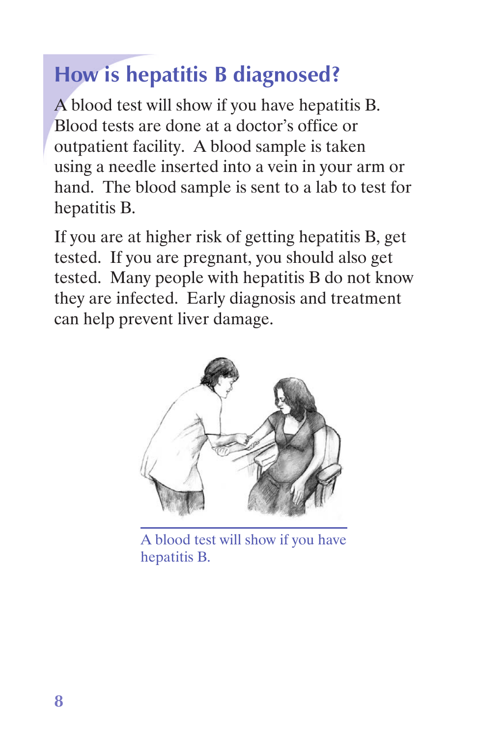# **How is hepatitis B diagnosed?**

 Blood tests are done at a doctor's office or outpatient facility. A blood sample is taken using a needle inserted into a vein in your arm or hand. The blood sample is sent to a lab to test for hepatitis B. A blood test will show if you have hepatitis B.

 If you are at higher risk of getting hepatitis B, get tested. If you are pregnant, you should also get they are infected. Early diagnosis and treatment can help prevent liver damage. tested. Many people with hepatitis B do not know



A blood test will show if you have hepatitis B.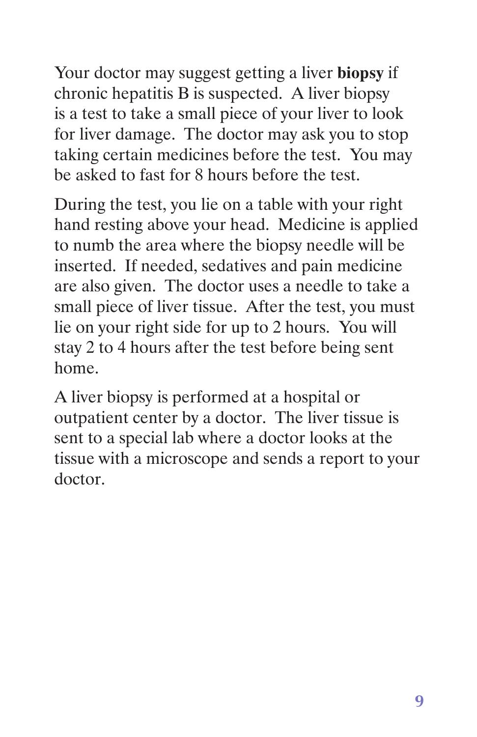Your doctor may suggest getting a liver **biopsy** if chronic hepatitis B is suspected. A liver biopsy is a test to take a small piece of your liver to look for liver damage. The doctor may ask you to stop taking certain medicines before the test. You may be asked to fast for 8 hours before the test.

 During the test, you lie on a table with your right hand resting above your head. Medicine is applied to numb the area where the biopsy needle will be inserted. If needed, sedatives and pain medicine are also given. The doctor uses a needle to take a small piece of liver tissue. After the test, you must lie on your right side for up to 2 hours. You will stay 2 to 4 hours after the test before being sent home.

 A liver biopsy is performed at a hospital or outpatient center by a doctor. The liver tissue is sent to a special lab where a doctor looks at the tissue with a microscope and sends a report to your doctor.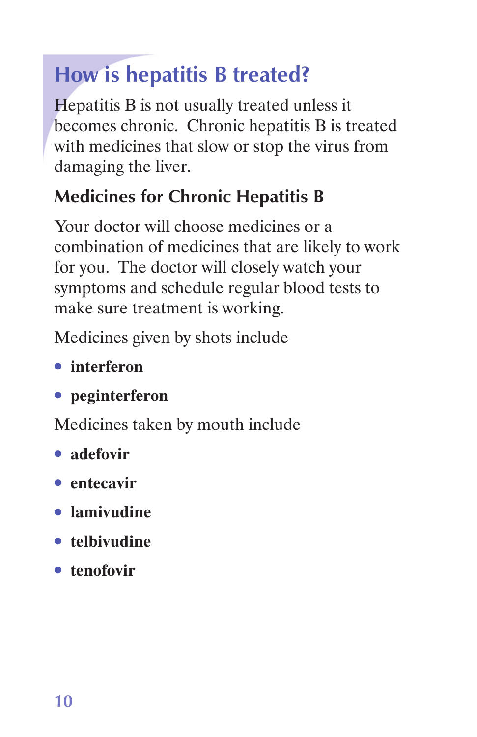# **How is hepatitis B treated?**

 Hepatitis B is not usually treated unless it becomes chronic. Chronic hepatitis B is treated with medicines that slow or stop the virus from damaging the liver.

### **Medicines for Chronic Hepatitis B**

 Your doctor will choose medicines or a combination of medicines that are likely to work for you. The doctor will closely watch your symptoms and schedule regular blood tests to make sure treatment is working.

Medicines given by shots include

- **interferon**
- **peginterferon**

Medicines taken by mouth include

- **adefovir**
- **entecavir**
- **lamivudine**
- **telbivudine**
- **tenofovir**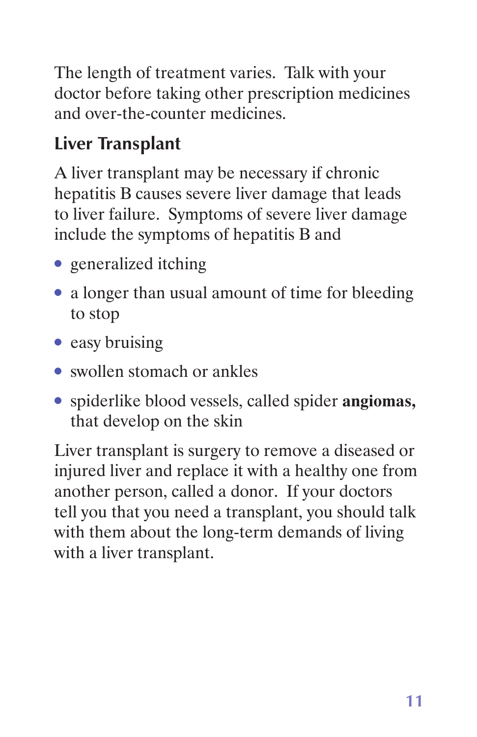The length of treatment varies. Talk with your doctor before taking other prescription medicines and over-the-counter medicines.

#### **Liver Transplant**

 A liver transplant may be necessary if chronic hepatitis B causes severe liver damage that leads to liver failure. Symptoms of severe liver damage include the symptoms of hepatitis B and

- generalized itching
- a longer than usual amount of time for bleeding to stop
- easy bruising
- swollen stomach or ankles
- ● spiderlike blood vessels, called spider **angiomas,**  that develop on the skin

 Liver transplant is surgery to remove a diseased or injured liver and replace it with a healthy one from another person, called a donor. If your doctors tell you that you need a transplant, you should talk with them about the long-term demands of living with a liver transplant.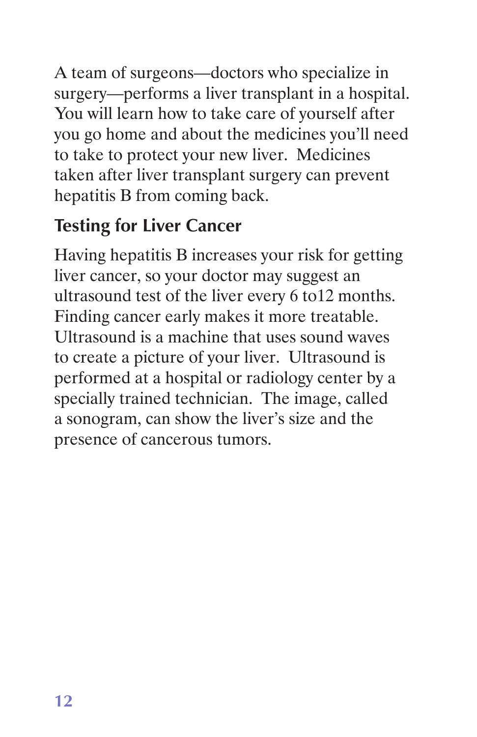A team of surgeons—doctors who specialize in surgery—performs a liver transplant in a hospital. You will learn how to take care of yourself after you go home and about the medicines you'll need to take to protect your new liver. Medicines taken after liver transplant surgery can prevent hepatitis B from coming back.

#### **Testing for Liver Cancer**

 Having hepatitis B increases your risk for getting liver cancer, so your doctor may suggest an ultrasound test of the liver every 6 to12 months. Finding cancer early makes it more treatable. Ultrasound is a machine that uses sound waves to create a picture of your liver. Ultrasound is performed at a hospital or radiology center by a specially trained technician. The image, called a sonogram, can show the liver's size and the presence of cancerous tumors.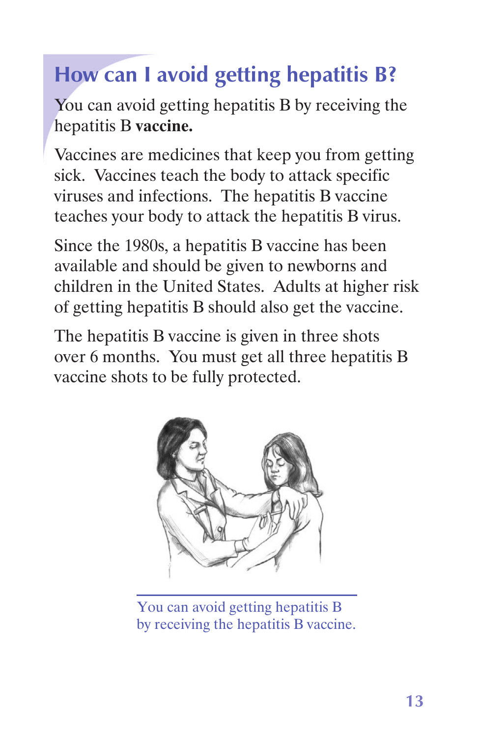# **How can I avoid getting hepatitis B?**

 You can avoid getting hepatitis B by receiving the hepatitis B **vaccine.** 

 Vaccines are medicines that keep you from getting sick. Vaccines teach the body to attack specific viruses and infections. The hepatitis B vaccine teaches your body to attack the hepatitis B virus.

 Since the 1980s, a hepatitis B vaccine has been available and should be given to newborns and children in the United States. Adults at higher risk of getting hepatitis B should also get the vaccine.

 The hepatitis B vaccine is given in three shots over 6 months. You must get all three hepatitis B vaccine shots to be fully protected.



You can avoid getting hepatitis B by receiving the hepatitis B vaccine.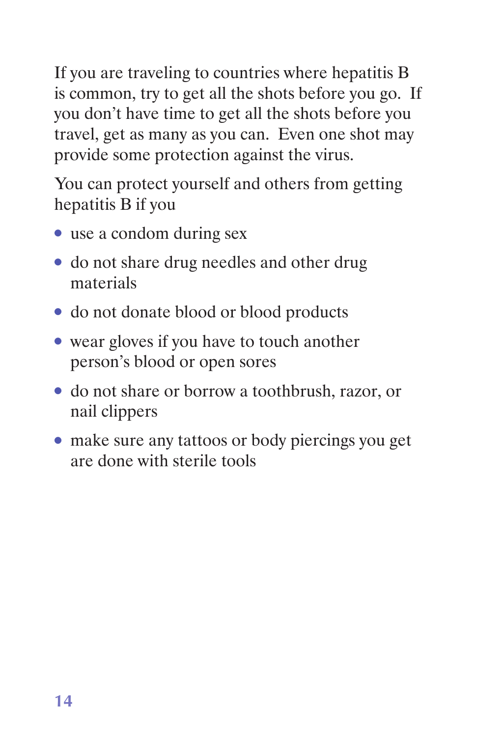If you are traveling to countries where hepatitis B is common, try to get all the shots before you go. If you don't have time to get all the shots before you travel, get as many as you can. Even one shot may provide some protection against the virus.

 You can protect yourself and others from getting hepatitis B if you

- use a condom during sex
- do not share drug needles and other drug materials
- ● do not donate blood or blood products
- wear gloves if you have to touch another person's blood or open sores
- do not share or borrow a toothbrush, razor, or nail clippers
- make sure any tattoos or body piercings you get are done with sterile tools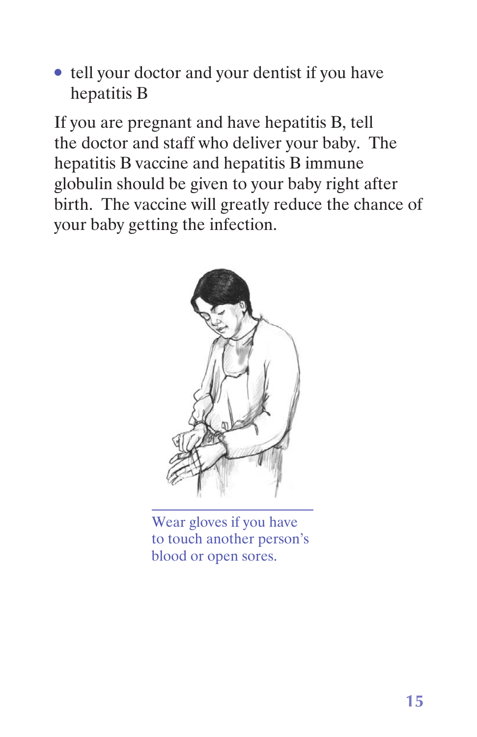• tell your doctor and your dentist if you have hepatitis B

 If you are pregnant and have hepatitis B, tell the doctor and staff who deliver your baby. The hepatitis B vaccine and hepatitis B immune globulin should be given to your baby right after birth. The vaccine will greatly reduce the chance of your baby getting the infection.



Wear gloves if you have to touch another person's blood or open sores.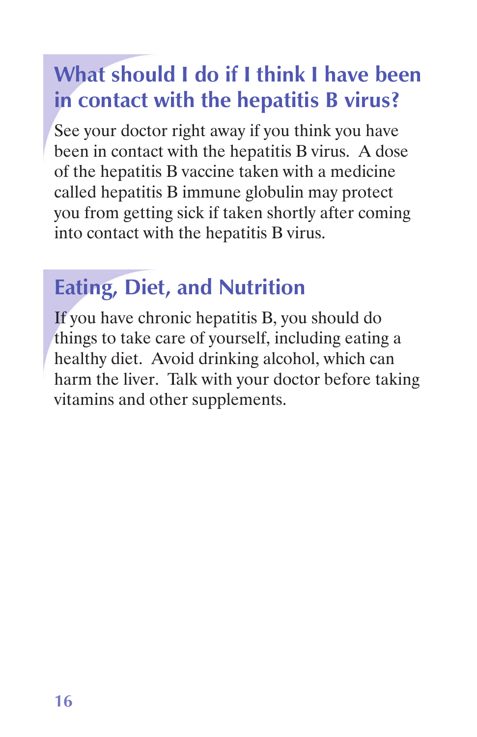## **What should I do if I think I have been in contact with the hepatitis B virus?**

 See your doctor right away if you think you have been in contact with the hepatitis B virus. A dose of the hepatitis B vaccine taken with a medicine called hepatitis B immune globulin may protect you from getting sick if taken shortly after coming into contact with the hepatitis B virus.

## **Eating, Diet, and Nutrition**

 If you have chronic hepatitis B, you should do things to take care of yourself, including eating a healthy diet. Avoid drinking alcohol, which can harm the liver. Talk with your doctor before taking vitamins and other supplements.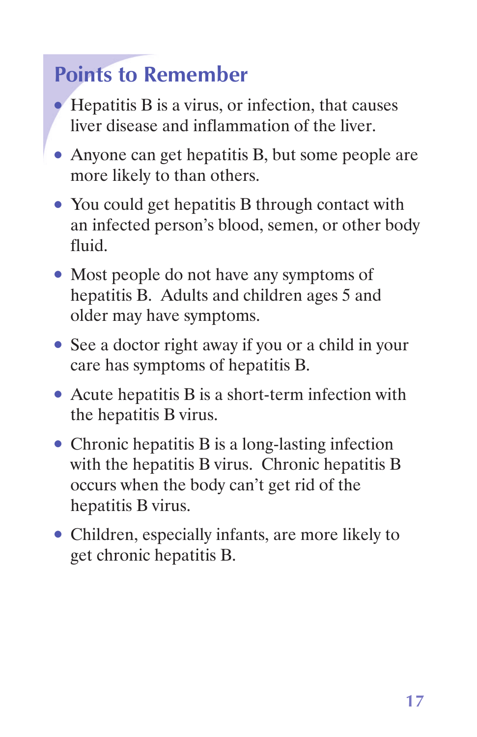## **Points to Remember**

- Hepatitis B is a virus, or infection, that causes liver disease and inflammation of the liver.
- Anyone can get hepatitis B, but some people are more likely to than others.
- You could get hepatitis B through contact with an infected person's blood, semen, or other body fluid.
- Most people do not have any symptoms of hepatitis B. Adults and children ages 5 and older may have symptoms.
- See a doctor right away if you or a child in your care has symptoms of hepatitis B.
- Acute hepatitis B is a short-term infection with the hepatitis B virus.
- Chronic hepatitis B is a long-lasting infection with the hepatitis B virus. Chronic hepatitis B occurs when the body can't get rid of the hepatitis B virus.
- Children, especially infants, are more likely to get chronic hepatitis B.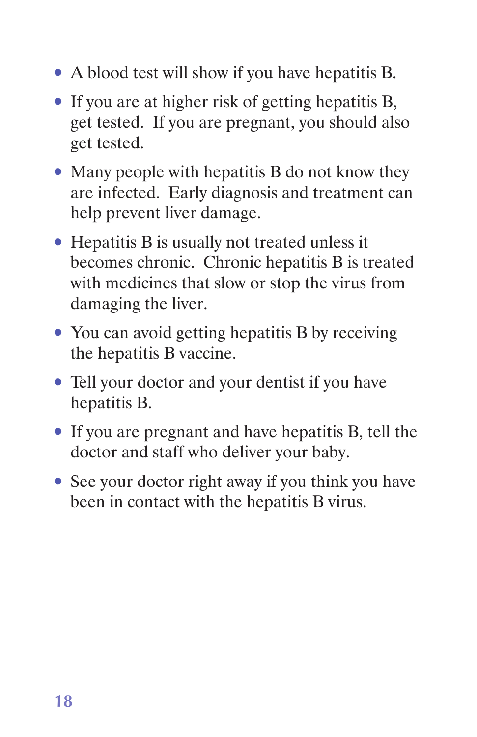- A blood test will show if you have hepatitis B.
- If you are at higher risk of getting hepatitis B, get tested. If you are pregnant, you should also get tested.
- Many people with hepatitis B do not know they are infected. Early diagnosis and treatment can help prevent liver damage.
- Hepatitis B is usually not treated unless it becomes chronic. Chronic hepatitis B is treated with medicines that slow or stop the virus from damaging the liver.
- You can avoid getting hepatitis B by receiving the hepatitis B vaccine.
- Tell your doctor and your dentist if you have hepatitis B.
- If you are pregnant and have hepatitis B, tell the doctor and staff who deliver your baby.
- See your doctor right away if you think you have been in contact with the hepatitis B virus.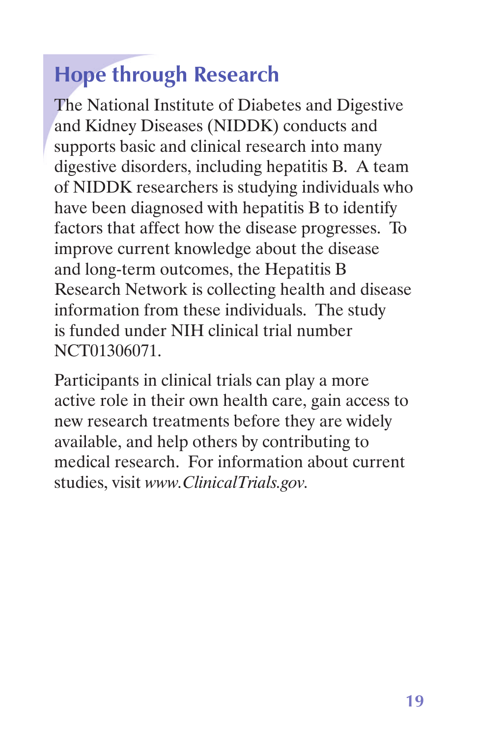# **Hope through Research**

 The National Institute of Diabetes and Digestive and Kidney Diseases (NIDDK) conducts and supports basic and clinical research into many digestive disorders, including hepatitis B. A team of NIDDK researchers is studying individuals who have been diagnosed with hepatitis B to identify factors that affect how the disease progresses. To improve current knowledge about the disease and long-term outcomes, the Hepatitis B Research Network is collecting health and disease information from these individuals. The study is funded under NIH clinical trial number NCT01306071.

 Participants in clinical trials can play a more active role in their own health care, gain access to new research treatments before they are widely available, and help others by contributing to medical research. For information about current studies, visit *www.ClinicalTrials.gov.*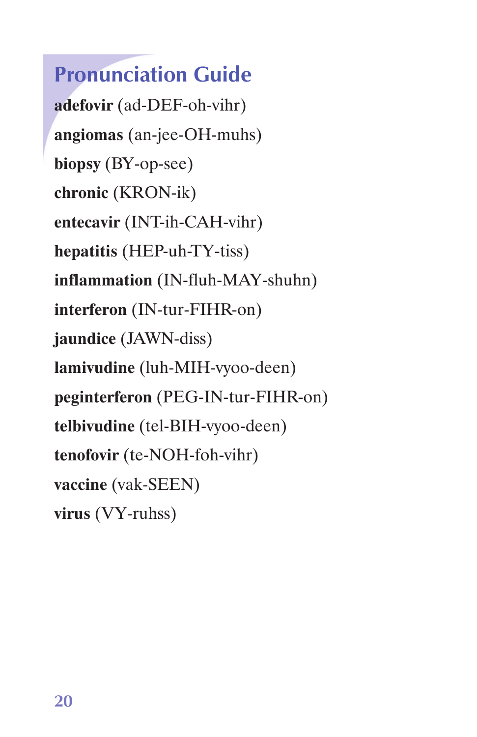## **Pronunciation Guide**

**adefovir** (ad-DEF-oh-vihr) **angiomas** (an-jee-OH-muhs) **biopsy** (BY-op-see) **chronic** (KRON-ik) **entecavir** (INT-ih-CAH-vihr) **hepatitis** (HEP-uh-TY-tiss) **inflammation** (IN-fluh-MAY-shuhn) **interferon** (IN-tur-FIHR-on) **jaundice** (JAWN-diss) **lamivudine** (luh-MIH-vyoo-deen) **peginterferon** (PEG-IN-tur-FIHR-on) **telbivudine** (tel-BIH-vyoo-deen) **tenofovir** (te-NOH-foh-vihr) **vaccine** (vak-SEEN) **virus** (VY-ruhss)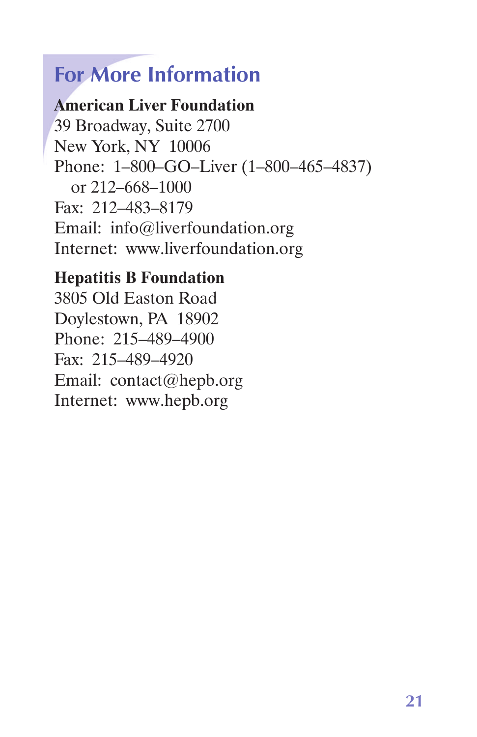## **For More Information**

#### **American Liver Foundation**

 39 Broadway, Suite 2700 New York, NY 10006 Phone: 1–800–GO–Liver (1–800–465–4837) Fax: 212–483–8179 Email: info@liverfoundation.org Internet: www.liverfoundation.org or 212–668–1000

#### **Hepatitis B Foundation**

 3805 Old Easton Road Doylestown, PA 18902 Phone: 215–489–4900 Fax: 215–489–4920 Email: contact@hepb.org Internet: www.hepb.org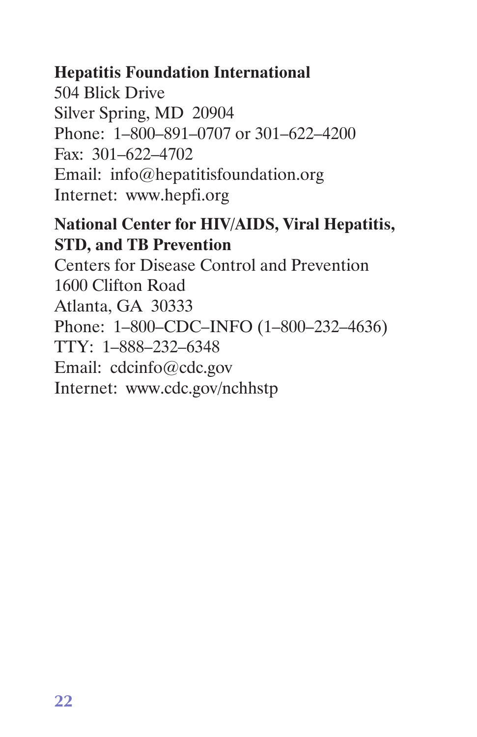#### **Hepatitis Foundation International**

 504 Blick Drive Silver Spring, MD 20904 Phone: 1–800–891–0707 or 301–622–4200 Fax: 301–622–4702 Email: info@hepatitisfoundation.org Internet: www.hepfi.org

#### **National Center for HIV/AIDS, Viral Hepatitis, STD, and TB Prevention**

 Centers for Disease Control and Prevention 1600 Clifton Road Atlanta, GA 30333 Phone: 1–800–CDC–INFO (1–800–232–4636) TTY: 1–888–232–6348 Email: cdcinfo@cdc.gov Internet: www.cdc.gov/nchhstp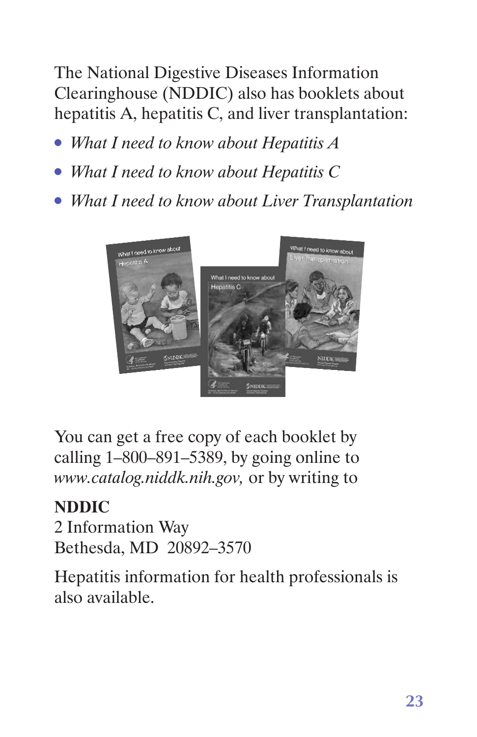The National Digestive Diseases Information Clearinghouse (NDDIC) also has booklets about hepatitis A, hepatitis C, and liver transplantation:

- *What I need to know about Hepatitis A*
- *What I need to know about Hepatitis C*
- *What I need to know about Liver Transplantation*



 You can get a free copy of each booklet by calling 1–800–891–5389, by going online to *www.catalog.niddk.nih.gov,* or by writing to

#### **NDDIC**

 2 Information Way Bethesda, MD 20892–3570

 Hepatitis information for health professionals is also available.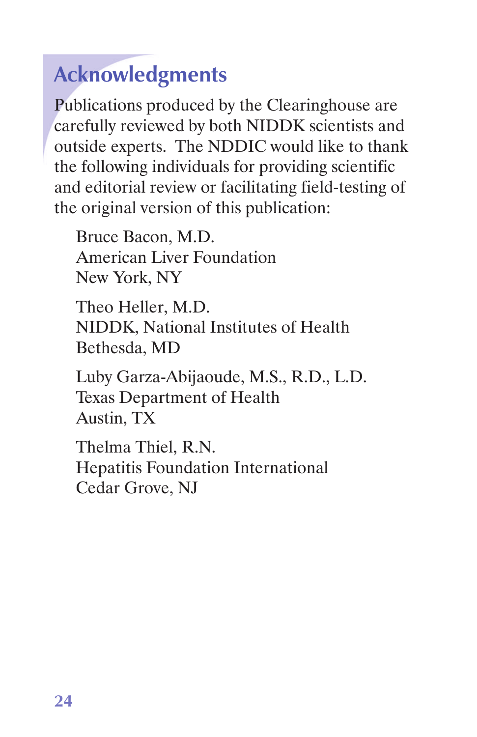# **Acknowledgments**

 Publications produced by the Clearinghouse are carefully reviewed by both NIDDK scientists and outside experts. The NDDIC would like to thank the following individuals for providing scientific and editorial review or facilitating field-testing of the original version of this publication:

 Bruce Bacon, M.D. American Liver Foundation New York, NY

 Theo Heller, M.D. NIDDK, National Institutes of Health Bethesda, MD

 Luby Garza-Abijaoude, M.S., R.D., L.D. Texas Department of Health Austin, TX

 Thelma Thiel, R.N. Hepatitis Foundation International Cedar Grove, NJ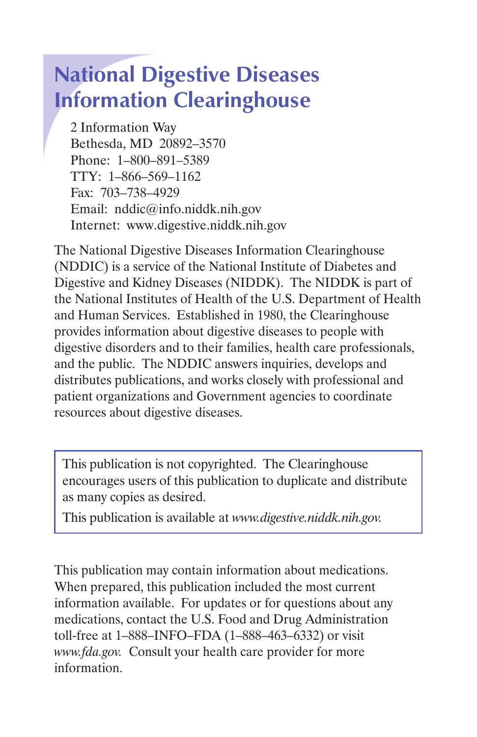## **National Digestive Diseases Information Clearinghouse**

2 Information Way Bethesda, MD 20892–3570 Phone: 1–800–891–5389 TTY: 1–866–569–1162 Fax: 703–738–4929 Email: nddic@info.niddk.nih.gov Internet: www.digestive.niddk.nih.gov

The National Digestive Diseases Information Clearinghouse (NDDIC) is a service of the National Institute of Diabetes and Digestive and Kidney Diseases (NIDDK). The NIDDK is part of the National Institutes of Health of the U.S. Department of Health and Human Services. Established in 1980, the Clearinghouse provides information about digestive diseases to people with digestive disorders and to their families, health care professionals, and the public. The NDDIC answers inquiries, develops and distributes publications, and works closely with professional and patient organizations and Government agencies to coordinate resources about digestive diseases.

 This publication is not copyrighted. The Clearinghouse encourages users of this publication to duplicate and distribute as many copies as desired.

This publication is available at *www.digestive.niddk.nih.gov.* 

This publication may contain information about medications. When prepared, this publication included the most current information available. For updates or for questions about any medications, contact the U.S. Food and Drug Administration toll-free at 1–888–INFO–FDA (1–888–463–6332) or visit *www.fda.gov.* Consult your health care provider for more information.